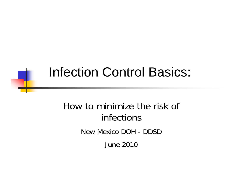### Infection Control Basics:

#### How to minimize the risk of infections New Mexico DOH - DDSD June 2010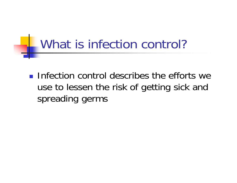# What is infection control?

 $\blacksquare$  Infection control describes the efforts we use to lessen the risk of getting sick and spreading germs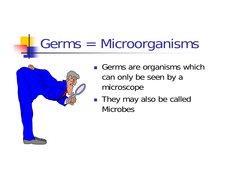# Germs = Microorganisms



- Germs are organisms which can only be seen by a microscope
- They may also be called Microbes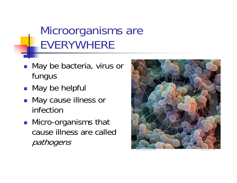#### Microorganisms are EVERYWHERE

- May be bacteria, virus or fungus
- May be helpful
- May cause illness or infection
- Micro-organisms that cause illness are called pathogens

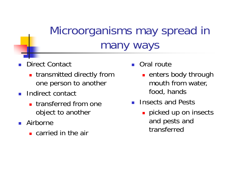#### Microorganisms may spread in many ways

- F. Direct Contact
	- **Exercise in transmitted directly from** one person to another
- **Indirect contact** 
	- **transferred from one** object to another
- Airborne
	- **E** carried in the air
- Oral route
	- **Example 1** enters body through mouth from water, food, hands
- **Insects and Pests** 
	- **picked up on insects** and pests and transferred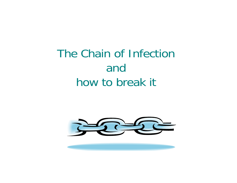#### The Chain of Infection and how to break it

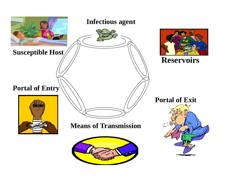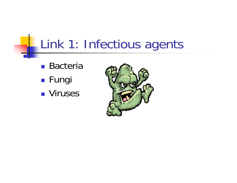### Link 1: Infectious agents

- Bacteria
- $\mathbb{R}^3$ **■ Fungi**
- Viruses

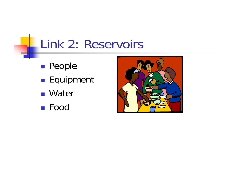### Link 2: Reservoirs

- $\mathbb{R}^3$ **People**
- $\mathbb{R}^3$ **Equipment**
- Water
- Food

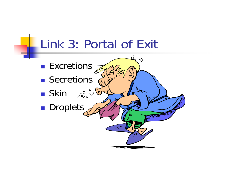#### Link 3: Portal of Exit

 $\frac{1}{\sqrt{2}}$ 

**A MARITIM** 

- **Excretions**
- **Secretions**

- $\blacksquare$  Skin
- $\mathbb{R}^3$ **Droplets**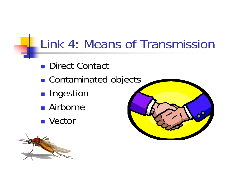### Link 4: Means of Transmission

- Direct Contact
- $\mathbb{R}^3$ ■ Contaminated objects
- $\mathbb{R}^3$ **Ingestion**
- Airborne
- Vector



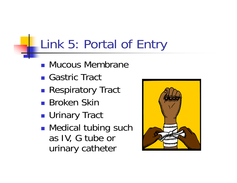### Link 5: Portal of Entry

- **Mucous Membrane**
- Gastric Tract
- $\mathbb{R}^3$ **Respiratory Tract**
- Broken Skin
- $\mathbb{R}^3$ ■ Urinary Tract
- $\mathbb{R}^3$ **Nedical tubing such** as IV, G tube or urinary catheter

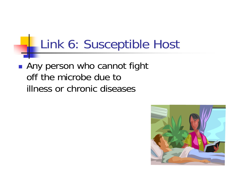### Link 6: Susceptible Host

**Any person who cannot fight** off the microbe due to illness or chronic diseases

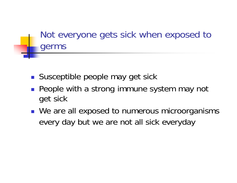Not everyone gets sick when exposed to germs

- Susceptible people may get sick
- **People with a strong immune system may not** get sick
- We are all exposed to numerous microorganisms every day but we are not all sick everyday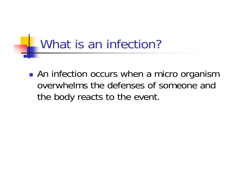### What is an infection?

**• An infection occurs when a micro organism** overwhelms the defenses of someone and the body reacts to the event.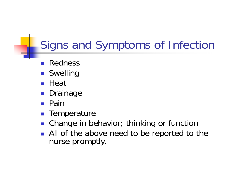### Signs and Symptoms of Infection

- H Redness
- Swelling
- $\blacksquare$  Heat
- Drainage
- **Pain**
- **Temperature**
- **Change in behavior**; thinking or function
- All of the above need to be reported to the nurse promptly.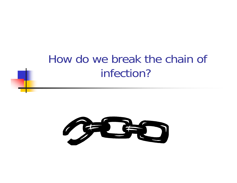#### How do we break the chain of infection?

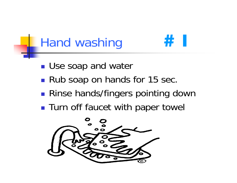# Hand washing



- $\mathbb{R}^3$ **Rub soap on hands for 15 sec.**
- $\mathbb{R}^3$ **Rinse hands/fingers pointing down**
- $\mathbb{R}^3$ **Turn off faucet with paper towel**

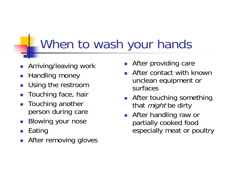#### When to wash your hands

- P. Arriving/leaving work
- F. Handling money
- P. Using the restroom
- F. Touching face, hair
- $\overline{\phantom{a}}$  Touching another person during care
- F. Blowing your nose
- P. Eating
- F. After removing gloves
- F. After providing care
- P. After contact with known unclean equipment or surfaces
- $\mathcal{L}^{\mathcal{A}}$  After touching something that *might* be dirty
- $\mathcal{L}^{\text{max}}$  After handling raw or partially cooked food especially meat or poultry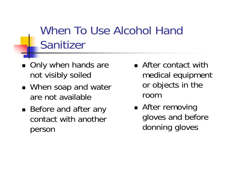#### When To Use Alcohol Hand Sanitizer

- Only when hands are not visibly soiled
- When soap and water are not available
- Before and after any contact with another person
- **After contact with** medical equipment or objects in the room
- After removing gloves and before donning gloves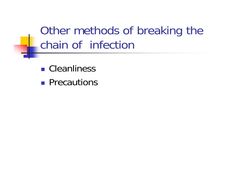Other methods of breaking the chain of infection

- Cleanliness
- **Precautions**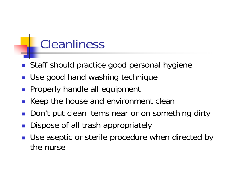#### Cleanliness

- **Staff should practice good personal hygiene**
- Use good hand washing technique
- **Properly handle all equipment**
- Keep the house and environment clean
- Don't put clean items near or on something dirty
- **Dispose of all trash appropriately**
- **Use aseptic or sterile procedure when directed by** the nurse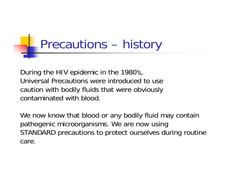### Precautions – history

During the HIV epidemic in the 1980's, Universal Precautions were introduced to use caution with bodily fluids that were obviously contaminated with blood.

We now know that blood or any bodily fluid may contain pathogenic microorganisms. We are now using STANDARD precautions to protect ourselves during routine care.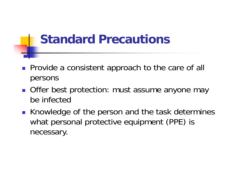#### **Standard Precautions**

- **Provide a consistent approach to the care of all** persons
- **Offer best protection: must assume anyone may** be infected
- Knowledge of the person and the task determines what personal protective equipment (PPE) is necessary.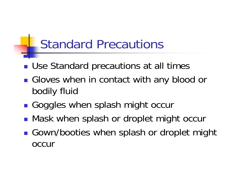#### Standard Precautions

- **Use Standard precautions at all times**
- **Gloves when in contact with any blood or** bodily fluid
- ■ Goggles when splash might occur
- ■ Mask when splash or droplet might occur
- **Gown/booties when splash or droplet might** occur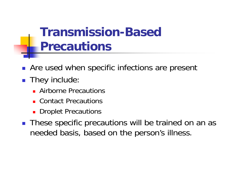#### **Transmission-Based Precautions**

- **Are used when specific infections are present**
- They include:
	- **Airborne Precautions**
	- Contact Precautions
	- **Droplet Precautions**
- **These specific precautions will be trained on an as** needed basis, based on the person's illness.